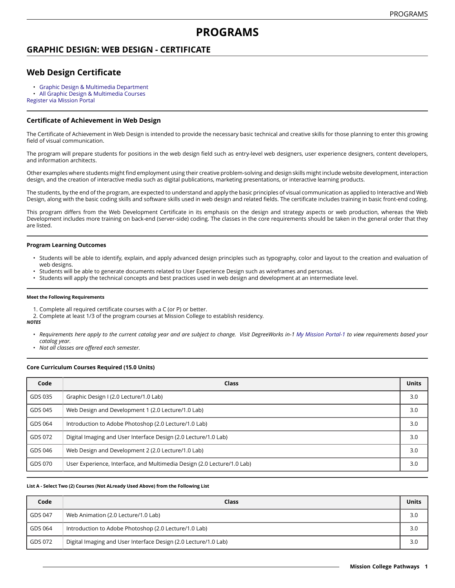# **PROGRAMS**

# **GRAPHIC DESIGN: WEB DESIGN - CERTIFICATE**

# **Web Design Certificate**

- Graphic Design & Multimedia [Department](https://missioncollege.edu/depts/graphic-design/)
- All Graphic Design & [Multimedia](http://majors.missioncollege.edu/current/courses/gds.html) Courses

[Register via Mission Portal](https://web.wvm.edu/)

### **Certificate of Achievement in Web Design**

The Certificate of Achievement in Web Design is intended to provide the necessary basic technical and creative skills for those planning to enter this growing field of visual communication.

The program will prepare students for positions in the web design field such as entry-level web designers, user experience designers, content developers, and information architects.

Other examples where students might find employment using their creative problem-solving and design skills might include website development, interaction design, and the creation of interactive media such as digital publications, marketing presentations, or interactive learning products.

The students, by the end of the program, are expected to understand and apply the basic principles of visual communication as applied to Interactive and Web Design, along with the basic coding skills and software skills used in web design and related fields. The certificate includes training in basic front-end coding.

This program differs from the Web Development Certificate in its emphasis on the design and strategy aspects or web production, whereas the Web Development includes more training on back-end (server-side) coding. The classes in the core requirements should be taken in the general order that they are listed.

#### **Program Learning Outcomes**

- Students will be able to identify, explain, and apply advanced design principles such as typography, color and layout to the creation and evaluation of web designs.
- Students will be able to generate documents related to User Experience Design such as wireframes and personas.
- Students will apply the technical concepts and best practices used in web design and development at an intermediate level.

#### **Meet the Following Requirements**

- 1. Complete all required certificate courses with a C (or P) or better.
- 2. Complete at least 1/3 of the program courses at Mission College to establish residency. *NOTES*
	- Requirements here apply to the current catalog year and are subject to change. Visit DegreeWorks in-1 [My Mission Portal-1](https://wvmccd.sharepoint.com/sites/MCPortal) to view requirements based your *catalog year.*
	- *Not all classes are offered each semester.*

#### **Core Curriculum Courses Required (15.0 Units)**

| Code    | Class                                                                   | <b>Units</b> |
|---------|-------------------------------------------------------------------------|--------------|
| GDS 035 | Graphic Design I (2.0 Lecture/1.0 Lab)                                  | 3.0          |
| GDS 045 | Web Design and Development 1 (2.0 Lecture/1.0 Lab)                      | 3.0          |
| GDS 064 | Introduction to Adobe Photoshop (2.0 Lecture/1.0 Lab)                   | 3.0          |
| GDS 072 | Digital Imaging and User Interface Design (2.0 Lecture/1.0 Lab)         | 3.0          |
| GDS 046 | Web Design and Development 2 (2.0 Lecture/1.0 Lab)                      | 3.0          |
| GDS 070 | User Experience, Interface, and Multimedia Design (2.0 Lecture/1.0 Lab) | 3.0          |

#### **List A - Select Two (2) Courses (Not ALready Used Above) from the Following List**

| Code    | Class                                                           | <b>Units</b> |
|---------|-----------------------------------------------------------------|--------------|
| GDS 047 | Web Animation (2.0 Lecture/1.0 Lab)                             | 3.0          |
| GDS 064 | Introduction to Adobe Photoshop (2.0 Lecture/1.0 Lab)           | 3.0          |
| GDS 072 | Digital Imaging and User Interface Design (2.0 Lecture/1.0 Lab) | 3.0          |